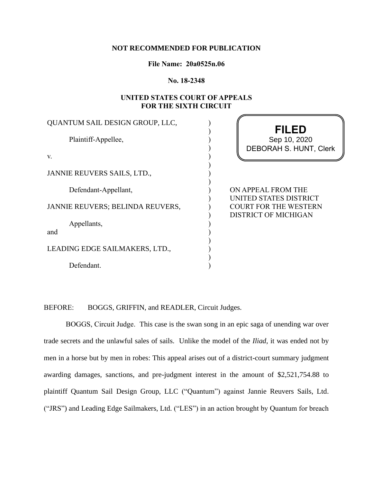### **NOT RECOMMENDED FOR PUBLICATION**

**File Name: 20a0525n.06**

**No. 18-2348**

# **UNITED STATES COURT OF APPEALS FOR THE SIXTH CIRCUIT**

b

| QUANTUM SAIL DESIGN GROUP, LLC,  |                                                                                |
|----------------------------------|--------------------------------------------------------------------------------|
| Plaintiff-Appellee,              | <b>FILED</b><br>Sep 10, 2020<br><b>DEBORAH S. HUNT, Clerk</b>                  |
| V.                               |                                                                                |
| JANNIE REUVERS SAILS, LTD.,      |                                                                                |
| Defendant-Appellant,             | ON APPEAL FROM THE                                                             |
| JANNIE REUVERS; BELINDA REUVERS, | UNITED STATES DISTRICT<br><b>COURT FOR THE WESTERN</b><br>DISTRICT OF MICHIGAN |
| Appellants,                      |                                                                                |
| and                              |                                                                                |
| LEADING EDGE SAILMAKERS, LTD.,   |                                                                                |
| Defendant.                       |                                                                                |

BEFORE: BOGGS, GRIFFIN, and READLER, Circuit Judges.

BOGGS, Circuit Judge. This case is the swan song in an epic saga of unending war over trade secrets and the unlawful sales of sails. Unlike the model of the *Iliad*, it was ended not by men in a horse but by men in robes: This appeal arises out of a district-court summary judgment awarding damages, sanctions, and pre-judgment interest in the amount of \$2,521,754.88 to plaintiff Quantum Sail Design Group, LLC ("Quantum") against Jannie Reuvers Sails, Ltd. ("JRS") and Leading Edge Sailmakers, Ltd. ("LES") in an action brought by Quantum for breach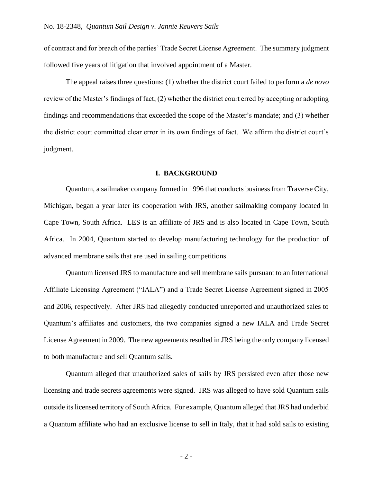of contract and for breach of the parties' Trade Secret License Agreement. The summary judgment followed five years of litigation that involved appointment of a Master.

The appeal raises three questions: (1) whether the district court failed to perform a *de novo* review of the Master's findings of fact; (2) whether the district court erred by accepting or adopting findings and recommendations that exceeded the scope of the Master's mandate; and (3) whether the district court committed clear error in its own findings of fact. We affirm the district court's judgment.

## **I. BACKGROUND**

Quantum, a sailmaker company formed in 1996 that conducts business from Traverse City, Michigan, began a year later its cooperation with JRS, another sailmaking company located in Cape Town, South Africa. LES is an affiliate of JRS and is also located in Cape Town, South Africa. In 2004, Quantum started to develop manufacturing technology for the production of advanced membrane sails that are used in sailing competitions.

Quantum licensed JRS to manufacture and sell membrane sails pursuant to an International Affiliate Licensing Agreement ("IALA") and a Trade Secret License Agreement signed in 2005 and 2006, respectively. After JRS had allegedly conducted unreported and unauthorized sales to Quantum's affiliates and customers, the two companies signed a new IALA and Trade Secret License Agreement in 2009. The new agreements resulted in JRS being the only company licensed to both manufacture and sell Quantum sails.

Quantum alleged that unauthorized sales of sails by JRS persisted even after those new licensing and trade secrets agreements were signed. JRS was alleged to have sold Quantum sails outside its licensed territory of South Africa. For example, Quantum alleged that JRS had underbid a Quantum affiliate who had an exclusive license to sell in Italy, that it had sold sails to existing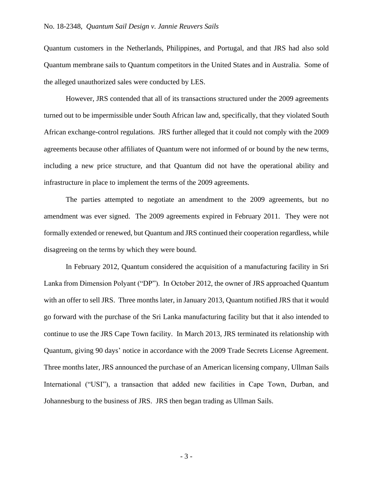Quantum customers in the Netherlands, Philippines, and Portugal, and that JRS had also sold Quantum membrane sails to Quantum competitors in the United States and in Australia. Some of the alleged unauthorized sales were conducted by LES.

However, JRS contended that all of its transactions structured under the 2009 agreements turned out to be impermissible under South African law and, specifically, that they violated South African exchange-control regulations. JRS further alleged that it could not comply with the 2009 agreements because other affiliates of Quantum were not informed of or bound by the new terms, including a new price structure, and that Quantum did not have the operational ability and infrastructure in place to implement the terms of the 2009 agreements.

The parties attempted to negotiate an amendment to the 2009 agreements, but no amendment was ever signed. The 2009 agreements expired in February 2011. They were not formally extended or renewed, but Quantum and JRS continued their cooperation regardless, while disagreeing on the terms by which they were bound.

In February 2012, Quantum considered the acquisition of a manufacturing facility in Sri Lanka from Dimension Polyant ("DP"). In October 2012, the owner of JRS approached Quantum with an offer to sell JRS. Three months later, in January 2013, Quantum notified JRS that it would go forward with the purchase of the Sri Lanka manufacturing facility but that it also intended to continue to use the JRS Cape Town facility. In March 2013, JRS terminated its relationship with Quantum, giving 90 days' notice in accordance with the 2009 Trade Secrets License Agreement. Three months later, JRS announced the purchase of an American licensing company, Ullman Sails International ("USI"), a transaction that added new facilities in Cape Town, Durban, and Johannesburg to the business of JRS. JRS then began trading as Ullman Sails.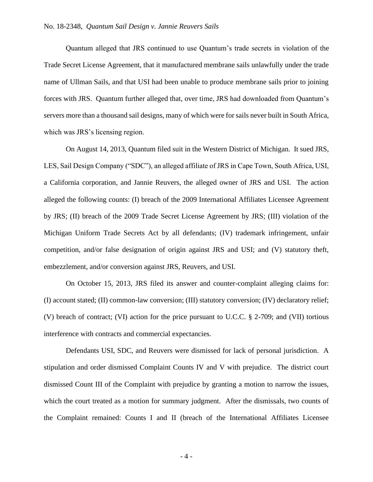Quantum alleged that JRS continued to use Quantum's trade secrets in violation of the Trade Secret License Agreement, that it manufactured membrane sails unlawfully under the trade name of Ullman Sails, and that USI had been unable to produce membrane sails prior to joining forces with JRS. Quantum further alleged that, over time, JRS had downloaded from Quantum's servers more than a thousand sail designs, many of which were for sails never built in South Africa, which was JRS's licensing region.

On August 14, 2013, Quantum filed suit in the Western District of Michigan. It sued JRS, LES, Sail Design Company ("SDC"), an alleged affiliate of JRS in Cape Town, South Africa, USI, a California corporation, and Jannie Reuvers, the alleged owner of JRS and USI. The action alleged the following counts: (I) breach of the 2009 International Affiliates Licensee Agreement by JRS; (II) breach of the 2009 Trade Secret License Agreement by JRS; (III) violation of the Michigan Uniform Trade Secrets Act by all defendants; (IV) trademark infringement, unfair competition, and/or false designation of origin against JRS and USI; and (V) statutory theft, embezzlement, and/or conversion against JRS, Reuvers, and USI.

On October 15, 2013, JRS filed its answer and counter-complaint alleging claims for: (I) account stated; (II) common-law conversion; (III) statutory conversion; (IV) declaratory relief; (V) breach of contract; (VI) action for the price pursuant to U.C.C. § 2-709; and (VII) tortious interference with contracts and commercial expectancies.

Defendants USI, SDC, and Reuvers were dismissed for lack of personal jurisdiction. A stipulation and order dismissed Complaint Counts IV and V with prejudice. The district court dismissed Count III of the Complaint with prejudice by granting a motion to narrow the issues, which the court treated as a motion for summary judgment. After the dismissals, two counts of the Complaint remained: Counts I and II (breach of the International Affiliates Licensee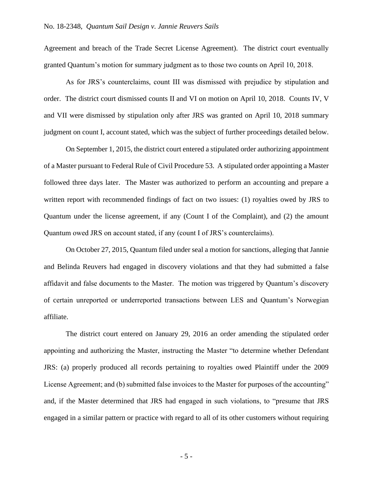Agreement and breach of the Trade Secret License Agreement). The district court eventually granted Quantum's motion for summary judgment as to those two counts on April 10, 2018.

As for JRS's counterclaims, count III was dismissed with prejudice by stipulation and order. The district court dismissed counts II and VI on motion on April 10, 2018. Counts IV, V and VII were dismissed by stipulation only after JRS was granted on April 10, 2018 summary judgment on count I, account stated, which was the subject of further proceedings detailed below.

On September 1, 2015, the district court entered a stipulated order authorizing appointment of a Master pursuant to Federal Rule of Civil Procedure 53. A stipulated order appointing a Master followed three days later. The Master was authorized to perform an accounting and prepare a written report with recommended findings of fact on two issues: (1) royalties owed by JRS to Quantum under the license agreement, if any (Count I of the Complaint), and (2) the amount Quantum owed JRS on account stated, if any (count I of JRS's counterclaims).

On October 27, 2015, Quantum filed under seal a motion for sanctions, alleging that Jannie and Belinda Reuvers had engaged in discovery violations and that they had submitted a false affidavit and false documents to the Master. The motion was triggered by Quantum's discovery of certain unreported or underreported transactions between LES and Quantum's Norwegian affiliate.

The district court entered on January 29, 2016 an order amending the stipulated order appointing and authorizing the Master, instructing the Master "to determine whether Defendant JRS: (a) properly produced all records pertaining to royalties owed Plaintiff under the 2009 License Agreement; and (b) submitted false invoices to the Master for purposes of the accounting" and, if the Master determined that JRS had engaged in such violations, to "presume that JRS engaged in a similar pattern or practice with regard to all of its other customers without requiring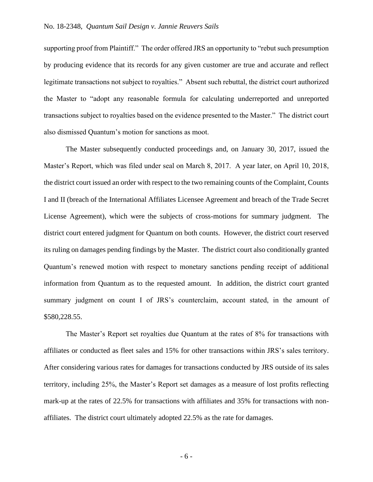supporting proof from Plaintiff." The order offered JRS an opportunity to "rebut such presumption by producing evidence that its records for any given customer are true and accurate and reflect legitimate transactions not subject to royalties." Absent such rebuttal, the district court authorized the Master to "adopt any reasonable formula for calculating underreported and unreported transactions subject to royalties based on the evidence presented to the Master." The district court also dismissed Quantum's motion for sanctions as moot.

The Master subsequently conducted proceedings and, on January 30, 2017, issued the Master's Report, which was filed under seal on March 8, 2017. A year later, on April 10, 2018, the district court issued an order with respect to the two remaining counts of the Complaint, Counts I and II (breach of the International Affiliates Licensee Agreement and breach of the Trade Secret License Agreement), which were the subjects of cross-motions for summary judgment. The district court entered judgment for Quantum on both counts. However, the district court reserved its ruling on damages pending findings by the Master. The district court also conditionally granted Quantum's renewed motion with respect to monetary sanctions pending receipt of additional information from Quantum as to the requested amount. In addition, the district court granted summary judgment on count I of JRS's counterclaim, account stated, in the amount of \$580,228.55.

The Master's Report set royalties due Quantum at the rates of 8% for transactions with affiliates or conducted as fleet sales and 15% for other transactions within JRS's sales territory. After considering various rates for damages for transactions conducted by JRS outside of its sales territory, including 25%, the Master's Report set damages as a measure of lost profits reflecting mark-up at the rates of 22.5% for transactions with affiliates and 35% for transactions with nonaffiliates. The district court ultimately adopted 22.5% as the rate for damages.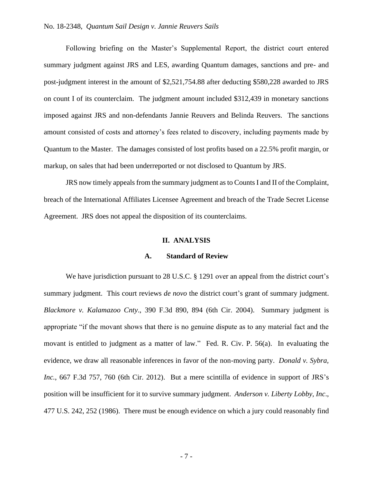## No. 18-2348, *Quantum Sail Design v. Jannie Reuvers Sails*

Following briefing on the Master's Supplemental Report, the district court entered summary judgment against JRS and LES, awarding Quantum damages, sanctions and pre- and post-judgment interest in the amount of \$2,521,754.88 after deducting \$580,228 awarded to JRS on count I of its counterclaim. The judgment amount included \$312,439 in monetary sanctions imposed against JRS and non-defendants Jannie Reuvers and Belinda Reuvers. The sanctions amount consisted of costs and attorney's fees related to discovery, including payments made by Quantum to the Master. The damages consisted of lost profits based on a 22.5% profit margin, or markup, on sales that had been underreported or not disclosed to Quantum by JRS.

JRS now timely appeals from the summary judgment as to Counts I and II of the Complaint, breach of the International Affiliates Licensee Agreement and breach of the Trade Secret License Agreement. JRS does not appeal the disposition of its counterclaims.

#### **II. ANALYSIS**

#### **A. Standard of Review**

We have jurisdiction pursuant to 28 U.S.C. § 1291 over an appeal from the district court's summary judgment. This court reviews *de novo* the district court's grant of summary judgment. *Blackmore v. Kalamazoo Cnty*., 390 F.3d 890, 894 (6th Cir. 2004). Summary judgment is appropriate "if the movant shows that there is no genuine dispute as to any material fact and the movant is entitled to judgment as a matter of law." Fed. R. Civ. P. 56(a). In evaluating the evidence, we draw all reasonable inferences in favor of the non-moving party. *Donald v. Sybra, Inc.*, 667 F.3d 757, 760 (6th Cir. 2012). But a mere scintilla of evidence in support of JRS's position will be insufficient for it to survive summary judgment. *Anderson v. Liberty Lobby, Inc*., 477 U.S. 242, 252 (1986). There must be enough evidence on which a jury could reasonably find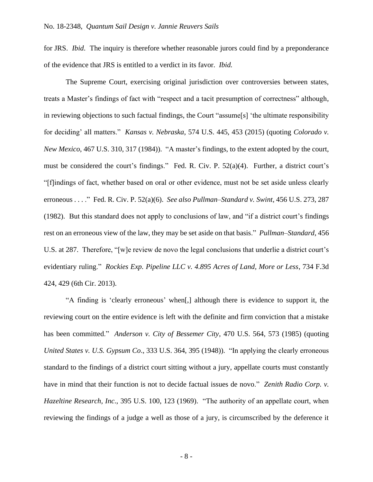for JRS. *Ibid*. The inquiry is therefore whether reasonable jurors could find by a preponderance of the evidence that JRS is entitled to a verdict in its favor. *Ibid.* 

The Supreme Court, exercising original jurisdiction over controversies between states, treats a Master's findings of fact with "respect and a tacit presumption of correctness" although, in reviewing objections to such factual findings, the Court "assume[s] 'the ultimate responsibility for deciding' all matters." *Kansas v. Nebraska*, 574 U.S. 445, 453 (2015) (quoting *Colorado v. New Mexico*, 467 U.S. 310, 317 (1984)). "A master's findings, to the extent adopted by the court, must be considered the court's findings." Fed. R. Civ. P. 52(a)(4). Further, a district court's "[f]indings of fact, whether based on oral or other evidence, must not be set aside unless clearly erroneous . . . ." Fed. R. Civ. P. 52(a)(6). *See also Pullman–Standard v. Swint*, 456 U.S. 273, 287 (1982). But this standard does not apply to conclusions of law, and "if a district court's findings rest on an erroneous view of the law, they may be set aside on that basis." *Pullman–Standard*, 456 U.S. at 287. Therefore, "[w]e review de novo the legal conclusions that underlie a district court's evidentiary ruling." *Rockies Exp. Pipeline LLC v. 4.895 Acres of Land, More or Less*, 734 F.3d 424, 429 (6th Cir. 2013).

"A finding is 'clearly erroneous' when[,] although there is evidence to support it, the reviewing court on the entire evidence is left with the definite and firm conviction that a mistake has been committed." *Anderson v. City of Bessemer City*, 470 U.S. 564, 573 (1985) (quoting *United States v. U.S. Gypsum Co*., 333 U.S. 364, 395 (1948)). "In applying the clearly erroneous standard to the findings of a district court sitting without a jury, appellate courts must constantly have in mind that their function is not to decide factual issues de novo." *Zenith Radio Corp. v. Hazeltine Research, Inc*., 395 U.S. 100, 123 (1969). "The authority of an appellate court, when reviewing the findings of a judge a well as those of a jury, is circumscribed by the deference it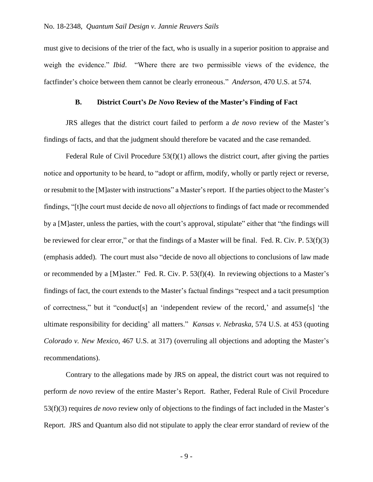must give to decisions of the trier of the fact, who is usually in a superior position to appraise and weigh the evidence." *Ibid*. "Where there are two permissible views of the evidence, the factfinder's choice between them cannot be clearly erroneous." *Anderson*, 470 U.S. at 574.

## **B. District Court's** *De Novo* **Review of the Master's Finding of Fact**

JRS alleges that the district court failed to perform a *de novo* review of the Master's findings of facts, and that the judgment should therefore be vacated and the case remanded.

Federal Rule of Civil Procedure  $53(f)(1)$  allows the district court, after giving the parties notice and opportunity to be heard, to "adopt or affirm, modify, wholly or partly reject or reverse, or resubmit to the [M]aster with instructions" a Master's report. If the parties object to the Master's findings, "[t]he court must decide de novo all *objections* to findings of fact made or recommended by a [M]aster, unless the parties, with the court's approval, stipulate" either that "the findings will be reviewed for clear error," or that the findings of a Master will be final. Fed. R. Civ. P. 53(f)(3) (emphasis added). The court must also "decide de novo all objections to conclusions of law made or recommended by a [M]aster." Fed. R. Civ. P. 53(f)(4). In reviewing objections to a Master's findings of fact, the court extends to the Master's factual findings "respect and a tacit presumption of correctness," but it "conduct[s] an 'independent review of the record,' and assume[s] 'the ultimate responsibility for deciding' all matters." *Kansas v. Nebraska*, 574 U.S. at 453 (quoting *Colorado v. New Mexico*, 467 U.S. at 317) (overruling all objections and adopting the Master's recommendations).

Contrary to the allegations made by JRS on appeal, the district court was not required to perform *de novo* review of the entire Master's Report. Rather, Federal Rule of Civil Procedure 53(f)(3) requires *de novo* review only of objections to the findings of fact included in the Master's Report. JRS and Quantum also did not stipulate to apply the clear error standard of review of the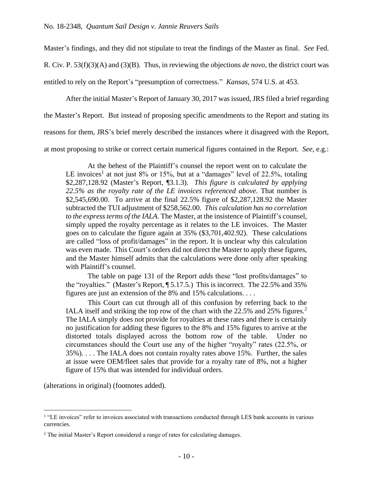Master's findings, and they did not stipulate to treat the findings of the Master as final. *See* Fed.

R. Civ. P. 53(f)(3)(A) and (3)(B). Thus, in reviewing the objections *de novo*, the district court was

entitled to rely on the Report's "presumption of correctness." *Kansas*, 574 U.S. at 453.

After the initial Master's Report of January 30, 2017 was issued, JRS filed a brief regarding

the Master's Report. But instead of proposing specific amendments to the Report and stating its

reasons for them, JRS's brief merely described the instances where it disagreed with the Report,

at most proposing to strike or correct certain numerical figures contained in the Report. *See*, e.g.:

At the behest of the Plaintiff's counsel the report went on to calculate the LE invoices<sup>1</sup> at not just 8% or 15%, but at a "damages" level of 22.5%, totaling \$2,287,128.92 (Master's Report, ¶3.1.3). *This figure is calculated by applying 22.5% as the royalty rate of the LE invoices referenced above*. That number is \$2,545,690.00. To arrive at the final 22.5% figure of \$2,287,128.92 the Master subtracted the TUI adjustment of \$258,562.00. *This calculation has no correlation to the express terms of the IALA*. The Master, at the insistence of Plaintiff's counsel, simply upped the royalty percentage as it relates to the LE invoices. The Master goes on to calculate the figure again at 35% (\$3,701,402.92). These calculations are called "loss of profit/damages" in the report. It is unclear why this calculation was even made. This Court's orders did not direct the Master to apply these figures, and the Master himself admits that the calculations were done only after speaking with Plaintiff's counsel.

The table on page 131 of the Report *adds* these "lost profits/damages" to the "royalties." (Master's Report, ¶ 5.17.5.) This is incorrect. The 22.5% and 35% figures are just an extension of the 8% and 15% calculations. . . .

This Court can cut through all of this confusion by referring back to the IALA itself and striking the top row of the chart with the  $22.5\%$  and  $25\%$  figures.<sup>2</sup> The IALA simply does not provide for royalties at these rates and there is certainly no justification for adding these figures to the 8% and 15% figures to arrive at the distorted totals displayed across the bottom row of the table. Under no circumstances should the Court use any of the higher "royalty" rates (22.5%, or 35%). . . . The IALA does not contain royalty rates above 15%. Further, the sales at issue were OEM/fleet sales that provide for a royalty rate of 8%, not a higher figure of 15% that was intended for individual orders.

(alterations in original) (footnotes added).

<sup>&</sup>lt;sup>1</sup> "LE invoices" refer to invoices associated with transactions conducted through LES bank accounts in various currencies.

<sup>&</sup>lt;sup>2</sup> The initial Master's Report considered a range of rates for calculating damages.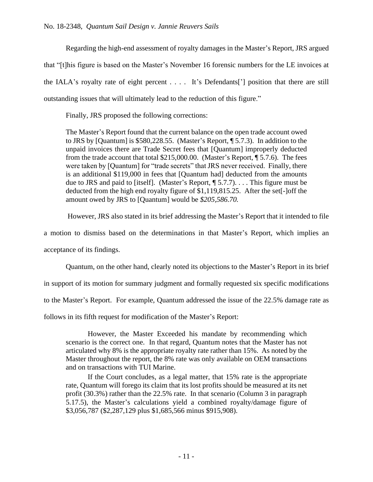Regarding the high-end assessment of royalty damages in the Master's Report, JRS argued that "[t]his figure is based on the Master's November 16 forensic numbers for the LE invoices at the IALA's royalty rate of eight percent . . . . It's Defendants['] position that there are still outstanding issues that will ultimately lead to the reduction of this figure."

Finally, JRS proposed the following corrections:

The Master's Report found that the current balance on the open trade account owed to JRS by [Quantum] is \$580,228.55. (Master's Report, ¶ 5.7.3). In addition to the unpaid invoices there are Trade Secret fees that [Quantum] improperly deducted from the trade account that total \$215,000.00. (Master's Report, ¶ 5.7.6). The fees were taken by [Quantum] for "trade secrets" that JRS never received. Finally, there is an additional \$119,000 in fees that [Quantum had] deducted from the amounts due to JRS and paid to [itself]. (Master's Report, ¶ 5.7.7). . . . This figure must be deducted from the high end royalty figure of \$1,119,815.25. After the set[-]off the amount owed by JRS to [Quantum] would be *\$205,586.70.*

However, JRS also stated in its brief addressing the Master's Report that it intended to file

a motion to dismiss based on the determinations in that Master's Report, which implies an

acceptance of its findings.

Quantum, on the other hand, clearly noted its objections to the Master's Report in its brief

in support of its motion for summary judgment and formally requested six specific modifications

to the Master's Report. For example, Quantum addressed the issue of the 22.5% damage rate as

follows in its fifth request for modification of the Master's Report:

However, the Master Exceeded his mandate by recommending which scenario is the correct one. In that regard, Quantum notes that the Master has not articulated why 8% is the appropriate royalty rate rather than 15%. As noted by the Master throughout the report, the 8% rate was only available on OEM transactions and on transactions with TUI Marine.

If the Court concludes, as a legal matter, that 15% rate is the appropriate rate, Quantum will forego its claim that its lost profits should be measured at its net profit (30.3%) rather than the 22.5% rate. In that scenario (Column 3 in paragraph 5.17.5), the Master's calculations yield a combined royalty/damage figure of \$3,056,787 (\$2,287,129 plus \$1,685,566 minus \$915,908).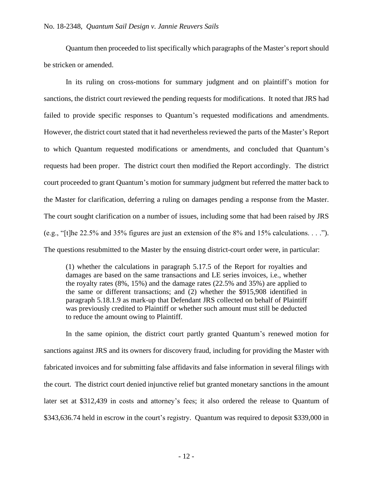Quantum then proceeded to list specifically which paragraphs of the Master's report should be stricken or amended.

In its ruling on cross-motions for summary judgment and on plaintiff's motion for sanctions, the district court reviewed the pending requests for modifications. It noted that JRS had failed to provide specific responses to Quantum's requested modifications and amendments. However, the district court stated that it had nevertheless reviewed the parts of the Master's Report to which Quantum requested modifications or amendments, and concluded that Quantum's requests had been proper. The district court then modified the Report accordingly. The district court proceeded to grant Quantum's motion for summary judgment but referred the matter back to the Master for clarification, deferring a ruling on damages pending a response from the Master. The court sought clarification on a number of issues, including some that had been raised by JRS (e.g., "[t]he 22.5% and 35% figures are just an extension of the 8% and 15% calculations. . . ."). The questions resubmitted to the Master by the ensuing district-court order were, in particular:

(1) whether the calculations in paragraph 5.17.5 of the Report for royalties and damages are based on the same transactions and LE series invoices, i.e., whether the royalty rates (8%, 15%) and the damage rates (22.5% and 35%) are applied to the same or different transactions; and (2) whether the \$915,908 identified in paragraph 5.18.1.9 as mark-up that Defendant JRS collected on behalf of Plaintiff was previously credited to Plaintiff or whether such amount must still be deducted to reduce the amount owing to Plaintiff.

In the same opinion, the district court partly granted Quantum's renewed motion for sanctions against JRS and its owners for discovery fraud, including for providing the Master with fabricated invoices and for submitting false affidavits and false information in several filings with the court. The district court denied injunctive relief but granted monetary sanctions in the amount later set at \$312,439 in costs and attorney's fees; it also ordered the release to Quantum of \$343,636.74 held in escrow in the court's registry. Quantum was required to deposit \$339,000 in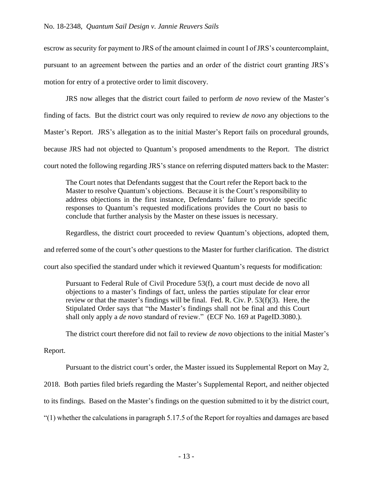escrow as security for payment to JRS of the amount claimed in count I of JRS's countercomplaint, pursuant to an agreement between the parties and an order of the district court granting JRS's motion for entry of a protective order to limit discovery.

JRS now alleges that the district court failed to perform *de novo* review of the Master's finding of facts. But the district court was only required to review *de novo* any objections to the Master's Report. JRS's allegation as to the initial Master's Report fails on procedural grounds, because JRS had not objected to Quantum's proposed amendments to the Report. The district court noted the following regarding JRS's stance on referring disputed matters back to the Master:

The Court notes that Defendants suggest that the Court refer the Report back to the Master to resolve Quantum's objections. Because it is the Court's responsibility to address objections in the first instance, Defendants' failure to provide specific responses to Quantum's requested modifications provides the Court no basis to conclude that further analysis by the Master on these issues is necessary.

Regardless, the district court proceeded to review Quantum's objections, adopted them,

and referred some of the court's *other* questions to the Master for further clarification. The district

court also specified the standard under which it reviewed Quantum's requests for modification:

Pursuant to Federal Rule of Civil Procedure 53(f), a court must decide de novo all objections to a master's findings of fact, unless the parties stipulate for clear error review or that the master's findings will be final. Fed. R. Civ. P. 53(f)(3). Here, the Stipulated Order says that "the Master's findings shall not be final and this Court shall only apply a *de novo* standard of review." (ECF No. 169 at PageID.3080.).

The district court therefore did not fail to review *de novo* objections to the initial Master's

# Report.

Pursuant to the district court's order, the Master issued its Supplemental Report on May 2, 2018. Both parties filed briefs regarding the Master's Supplemental Report, and neither objected to its findings. Based on the Master's findings on the question submitted to it by the district court, "(1) whether the calculations in paragraph 5.17.5 of the Report for royalties and damages are based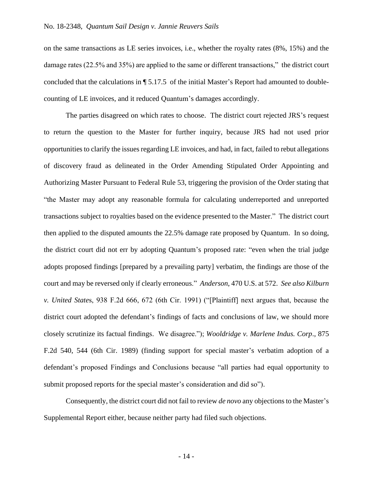on the same transactions as LE series invoices, i.e., whether the royalty rates (8%, 15%) and the damage rates (22.5% and 35%) are applied to the same or different transactions," the district court concluded that the calculations in ¶ 5.17.5 of the initial Master's Report had amounted to doublecounting of LE invoices, and it reduced Quantum's damages accordingly.

The parties disagreed on which rates to choose. The district court rejected JRS's request to return the question to the Master for further inquiry, because JRS had not used prior opportunities to clarify the issues regarding LE invoices, and had, in fact, failed to rebut allegations of discovery fraud as delineated in the Order Amending Stipulated Order Appointing and Authorizing Master Pursuant to Federal Rule 53, triggering the provision of the Order stating that "the Master may adopt any reasonable formula for calculating underreported and unreported transactions subject to royalties based on the evidence presented to the Master." The district court then applied to the disputed amounts the 22.5% damage rate proposed by Quantum. In so doing, the district court did not err by adopting Quantum's proposed rate: "even when the trial judge adopts proposed findings [prepared by a prevailing party] verbatim, the findings are those of the court and may be reversed only if clearly erroneous." *Anderson*, 470 U.S. at 572. *See also Kilburn v. United State*s, 938 F.2d 666, 672 (6th Cir. 1991) ("[Plaintiff] next argues that, because the district court adopted the defendant's findings of facts and conclusions of law, we should more closely scrutinize its factual findings. We disagree."); *Wooldridge v. Marlene Indus. Corp*., 875 F.2d 540, 544 (6th Cir. 1989) (finding support for special master's verbatim adoption of a defendant's proposed Findings and Conclusions because "all parties had equal opportunity to submit proposed reports for the special master's consideration and did so").

Consequently, the district court did not fail to review *de novo* any objections to the Master's Supplemental Report either, because neither party had filed such objections.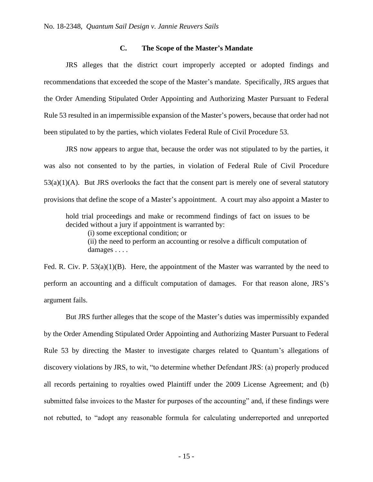## **C. The Scope of the Master's Mandate**

JRS alleges that the district court improperly accepted or adopted findings and recommendations that exceeded the scope of the Master's mandate. Specifically, JRS argues that the Order Amending Stipulated Order Appointing and Authorizing Master Pursuant to Federal Rule 53 resulted in an impermissible expansion of the Master's powers, because that order had not been stipulated to by the parties, which violates Federal Rule of Civil Procedure 53.

JRS now appears to argue that, because the order was not stipulated to by the parties, it was also not consented to by the parties, in violation of Federal Rule of Civil Procedure  $53(a)(1)(A)$ . But JRS overlooks the fact that the consent part is merely one of several statutory provisions that define the scope of a Master's appointment. A court may also appoint a Master to

hold trial proceedings and make or recommend findings of fact on issues to be decided without a jury if appointment is warranted by:

(i) some exceptional condition; or

(ii) the need to perform an accounting or resolve a difficult computation of damages . . . .

Fed. R. Civ. P.  $53(a)(1)(B)$ . Here, the appointment of the Master was warranted by the need to perform an accounting and a difficult computation of damages. For that reason alone, JRS's argument fails.

But JRS further alleges that the scope of the Master's duties was impermissibly expanded by the Order Amending Stipulated Order Appointing and Authorizing Master Pursuant to Federal Rule 53 by directing the Master to investigate charges related to Quantum's allegations of discovery violations by JRS, to wit, "to determine whether Defendant JRS: (a) properly produced all records pertaining to royalties owed Plaintiff under the 2009 License Agreement; and (b) submitted false invoices to the Master for purposes of the accounting" and, if these findings were not rebutted, to "adopt any reasonable formula for calculating underreported and unreported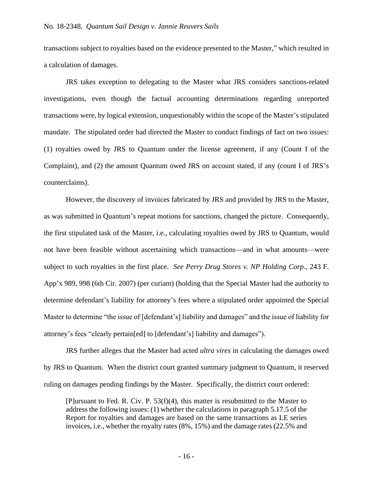transactions subject to royalties based on the evidence presented to the Master," which resulted in a calculation of damages.

JRS takes exception to delegating to the Master what JRS considers sanctions-related investigations, even though the factual accounting determinations regarding unreported transactions were, by logical extension, unquestionably within the scope of the Master's stipulated mandate. The stipulated order had directed the Master to conduct findings of fact on two issues: (1) royalties owed by JRS to Quantum under the license agreement, if any (Count I of the Complaint), and (2) the amount Quantum owed JRS on account stated, if any (count I of JRS's counterclaims).

However, the discovery of invoices fabricated by JRS and provided by JRS to the Master, as was submitted in Quantum's repeat motions for sanctions, changed the picture. Consequently, the first stipulated task of the Master, i.e., calculating royalties owed by JRS to Quantum, would not have been feasible without ascertaining which transactions—and in what amounts—were subject to such royalties in the first place. *See Perry Drug Stores v. NP Holding Corp*., 243 F. App'x 989, 998 (6th Cir. 2007) (per curiam) (holding that the Special Master had the authority to determine defendant's liability for attorney's fees where a stipulated order appointed the Special Master to determine "the issue of [defendant's] liability and damages" and the issue of liability for attorney's fees "clearly pertain[ed] to [defendant's] liability and damages").

JRS further alleges that the Master had acted *ultra vires* in calculating the damages owed by JRS to Quantum. When the district court granted summary judgment to Quantum, it reserved ruling on damages pending findings by the Master. Specifically, the district court ordered:

[P]ursuant to Fed. R. Civ. P. 53(f)(4), this matter is resubmitted to the Master to address the following issues: (1) whether the calculations in paragraph 5.17.5 of the Report for royalties and damages are based on the same transactions as LE series invoices, i.e., whether the royalty rates (8%, 15%) and the damage rates (22.5% and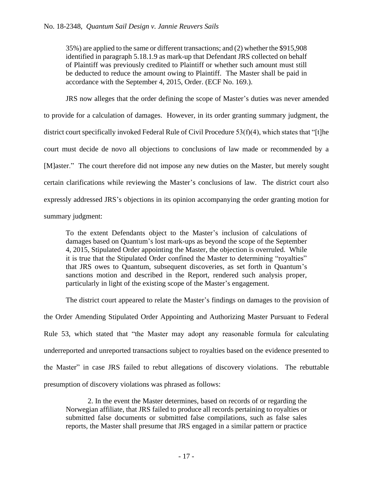35%) are applied to the same or different transactions; and (2) whether the \$915,908 identified in paragraph 5.18.1.9 as mark-up that Defendant JRS collected on behalf of Plaintiff was previously credited to Plaintiff or whether such amount must still be deducted to reduce the amount owing to Plaintiff. The Master shall be paid in accordance with the September 4, 2015, Order. (ECF No. 169.).

JRS now alleges that the order defining the scope of Master's duties was never amended to provide for a calculation of damages. However, in its order granting summary judgment, the district court specifically invoked Federal Rule of Civil Procedure 53(f)(4), which states that "[t]he court must decide de novo all objections to conclusions of law made or recommended by a [M]aster." The court therefore did not impose any new duties on the Master, but merely sought certain clarifications while reviewing the Master's conclusions of law. The district court also expressly addressed JRS's objections in its opinion accompanying the order granting motion for summary judgment:

To the extent Defendants object to the Master's inclusion of calculations of damages based on Quantum's lost mark-ups as beyond the scope of the September 4, 2015, Stipulated Order appointing the Master, the objection is overruled. While it is true that the Stipulated Order confined the Master to determining "royalties" that JRS owes to Quantum, subsequent discoveries, as set forth in Quantum's sanctions motion and described in the Report, rendered such analysis proper, particularly in light of the existing scope of the Master's engagement.

The district court appeared to relate the Master's findings on damages to the provision of the Order Amending Stipulated Order Appointing and Authorizing Master Pursuant to Federal Rule 53, which stated that "the Master may adopt any reasonable formula for calculating underreported and unreported transactions subject to royalties based on the evidence presented to the Master" in case JRS failed to rebut allegations of discovery violations. The rebuttable presumption of discovery violations was phrased as follows:

2. In the event the Master determines, based on records of or regarding the Norwegian affiliate, that JRS failed to produce all records pertaining to royalties or submitted false documents or submitted false compilations, such as false sales reports, the Master shall presume that JRS engaged in a similar pattern or practice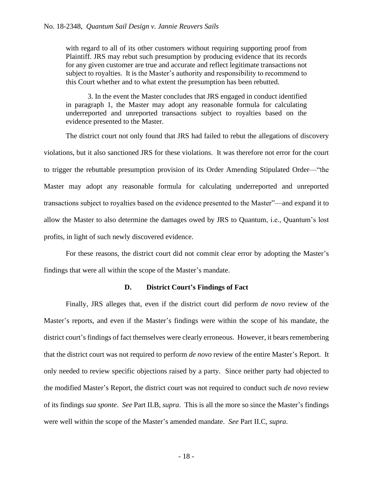with regard to all of its other customers without requiring supporting proof from Plaintiff. JRS may rebut such presumption by producing evidence that its records for any given customer are true and accurate and reflect legitimate transactions not subject to royalties. It is the Master's authority and responsibility to recommend to this Court whether and to what extent the presumption has been rebutted.

3. In the event the Master concludes that JRS engaged in conduct identified in paragraph 1, the Master may adopt any reasonable formula for calculating underreported and unreported transactions subject to royalties based on the evidence presented to the Master.

The district court not only found that JRS had failed to rebut the allegations of discovery violations, but it also sanctioned JRS for these violations. It was therefore not error for the court to trigger the rebuttable presumption provision of its Order Amending Stipulated Order—"the Master may adopt any reasonable formula for calculating underreported and unreported transactions subject to royalties based on the evidence presented to the Master"—and expand it to allow the Master to also determine the damages owed by JRS to Quantum, i.e., Quantum's lost profits, in light of such newly discovered evidence.

For these reasons, the district court did not commit clear error by adopting the Master's findings that were all within the scope of the Master's mandate.

#### **D. District Court's Findings of Fact**

Finally, JRS alleges that, even if the district court did perform *de novo* review of the Master's reports, and even if the Master's findings were within the scope of his mandate, the district court's findings of fact themselves were clearly erroneous. However, it bears remembering that the district court was not required to perform *de novo* review of the entire Master's Report. It only needed to review specific objections raised by a party. Since neither party had objected to the modified Master's Report, the district court was not required to conduct such *de novo* review of its findings *sua sponte*. *See* Part II.B, *supra*. This is all the more so since the Master's findings were well within the scope of the Master's amended mandate. *See* Part II.C, *supra*.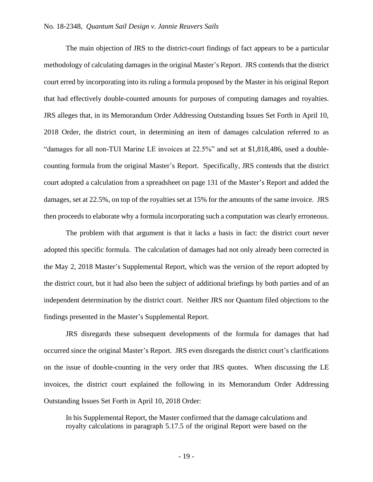The main objection of JRS to the district-court findings of fact appears to be a particular methodology of calculating damages in the original Master's Report. JRS contends that the district court erred by incorporating into its ruling a formula proposed by the Master in his original Report that had effectively double-counted amounts for purposes of computing damages and royalties. JRS alleges that, in its Memorandum Order Addressing Outstanding Issues Set Forth in April 10, 2018 Order, the district court, in determining an item of damages calculation referred to as "damages for all non-TUI Marine LE invoices at 22.5%" and set at \$1,818,486, used a doublecounting formula from the original Master's Report. Specifically, JRS contends that the district court adopted a calculation from a spreadsheet on page 131 of the Master's Report and added the damages, set at 22.5%, on top of the royalties set at 15% for the amounts of the same invoice. JRS then proceeds to elaborate why a formula incorporating such a computation was clearly erroneous.

The problem with that argument is that it lacks a basis in fact: the district court never adopted this specific formula. The calculation of damages had not only already been corrected in the May 2, 2018 Master's Supplemental Report, which was the version of the report adopted by the district court, but it had also been the subject of additional briefings by both parties and of an independent determination by the district court. Neither JRS nor Quantum filed objections to the findings presented in the Master's Supplemental Report.

JRS disregards these subsequent developments of the formula for damages that had occurred since the original Master's Report. JRS even disregards the district court's clarifications on the issue of double-counting in the very order that JRS quotes. When discussing the LE invoices, the district court explained the following in its Memorandum Order Addressing Outstanding Issues Set Forth in April 10, 2018 Order:

In his Supplemental Report, the Master confirmed that the damage calculations and royalty calculations in paragraph 5.17.5 of the original Report were based on the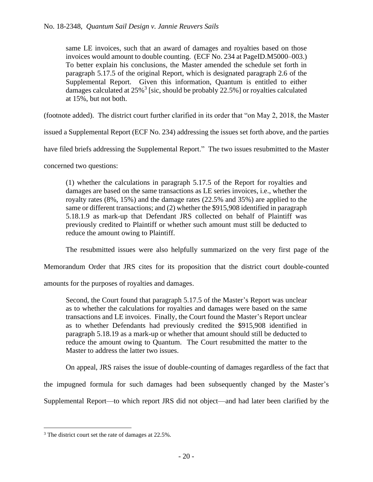same LE invoices, such that an award of damages and royalties based on those invoices would amount to double counting. (ECF No. 234 at PageID.M5000–003.) To better explain his conclusions, the Master amended the schedule set forth in paragraph 5.17.5 of the original Report, which is designated paragraph 2.6 of the Supplemental Report. Given this information, Quantum is entitled to either damages calculated at  $25\%$ <sup>3</sup> [sic, should be probably 22.5%] or royalties calculated at 15%, but not both.

(footnote added). The district court further clarified in its order that "on May 2, 2018, the Master

issued a Supplemental Report (ECF No. 234) addressing the issues set forth above, and the parties

have filed briefs addressing the Supplemental Report." The two issues resubmitted to the Master

concerned two questions:

(1) whether the calculations in paragraph 5.17.5 of the Report for royalties and damages are based on the same transactions as LE series invoices, i.e., whether the royalty rates (8%, 15%) and the damage rates (22.5% and 35%) are applied to the same or different transactions; and (2) whether the \$915,908 identified in paragraph 5.18.1.9 as mark-up that Defendant JRS collected on behalf of Plaintiff was previously credited to Plaintiff or whether such amount must still be deducted to reduce the amount owing to Plaintiff.

The resubmitted issues were also helpfully summarized on the very first page of the

Memorandum Order that JRS cites for its proposition that the district court double-counted

amounts for the purposes of royalties and damages.

Second, the Court found that paragraph 5.17.5 of the Master's Report was unclear as to whether the calculations for royalties and damages were based on the same transactions and LE invoices. Finally, the Court found the Master's Report unclear as to whether Defendants had previously credited the \$915,908 identified in paragraph 5.18.19 as a mark-up or whether that amount should still be deducted to reduce the amount owing to Quantum. The Court resubmitted the matter to the Master to address the latter two issues.

On appeal, JRS raises the issue of double-counting of damages regardless of the fact that

the impugned formula for such damages had been subsequently changed by the Master's

Supplemental Report—to which report JRS did not object—and had later been clarified by the

<sup>3</sup> The district court set the rate of damages at 22.5%.